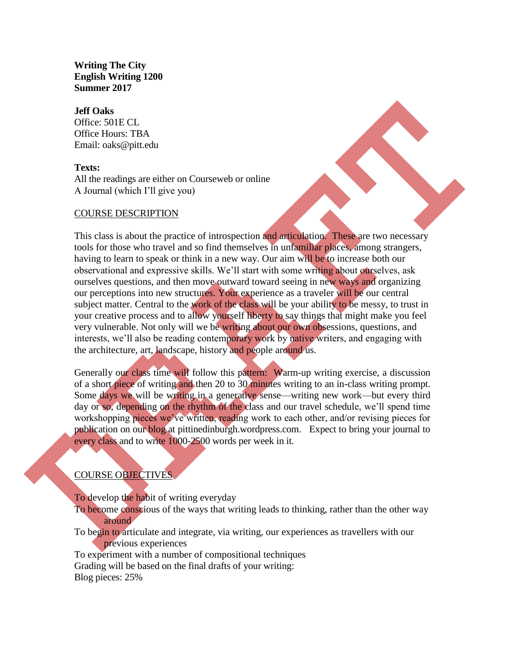**Writing The City English Writing 1200 Summer 2017**

#### **Jeff Oaks**

Office: 501E CL Office Hours: TBA Email: oaks@pitt.edu

# **Texts:**

All the readings are either on Courseweb or online A Journal (which I'll give you)

# COURSE DESCRIPTION

This class is about the practice of introspection and articulation. These are two necessary tools for those who travel and so find themselves in unfamiliar places, among strangers, having to learn to speak or think in a new way. Our aim will be to increase both our observational and expressive skills. We'll start with some writing about ourselves, ask ourselves questions, and then move outward toward seeing in new ways and organizing our perceptions into new structures. Your experience as a traveler will be our central subject matter. Central to the work of the class will be your ability to be messy, to trust in your creative process and to allow yourself liberty to say things that might make you feel very vulnerable. Not only will we be writing about our own obsessions, questions, and interests, we'll also be reading contemporary work by native writers, and engaging with the architecture, art, landscape, history and people around us.

Generally our class time will follow this pattern: Warm-up writing exercise, a discussion of a short piece of writing and then 20 to 30 minutes writing to an in-class writing prompt. Some days we will be writing in a generative sense—writing new work—but every third day or so, depending on the rhythm of the class and our travel schedule, we'll spend time workshopping pieces we've written, reading work to each other, and/or revising pieces for publication on our blog at pittinedinburgh.wordpress.com. Expect to bring your journal to every class and to write 1000-2500 words per week in it.

# COURSE OBJECTIVES

To develop the habit of writing everyday

- To become conscious of the ways that writing leads to thinking, rather than the other way around
- To begin to articulate and integrate, via writing, our experiences as travellers with our previous experiences

To experiment with a number of compositional techniques Grading will be based on the final drafts of your writing: Blog pieces: 25%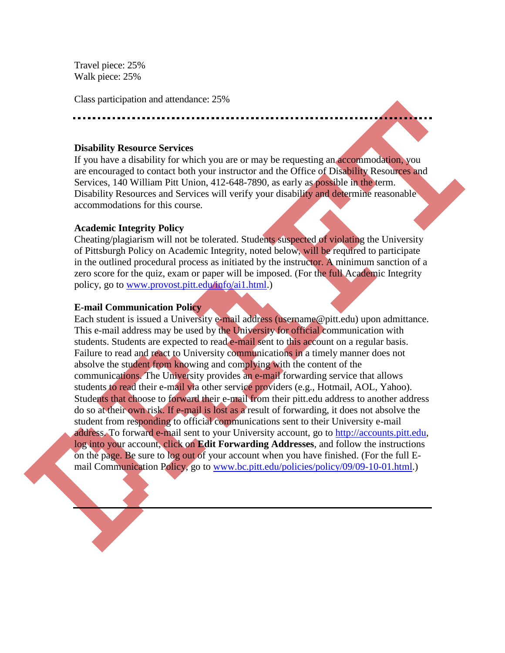Travel piece: 25% Walk piece: 25%

Class participation and attendance: 25%

#### **Disability Resource Services**

If you have a disability for which you are or may be requesting an accommodation, you are encouraged to contact both your instructor and the Office of Disability Resources and Services, 140 William Pitt Union, 412-648-7890, as early as possible in the term. Disability Resources and Services will verify your disability and determine reasonable accommodations for this course.

# **Academic Integrity Policy**

Cheating/plagiarism will not be tolerated. Students suspected of violating the University of Pittsburgh Policy on Academic Integrity, noted below, will be required to participate in the outlined procedural process as initiated by the instructor. A minimum sanction of a zero score for the quiz, exam or paper will be imposed. (For the full Academic Integrity policy, go to [www.provost.pitt.edu/info/ai1.html.](http://www.provost.pitt.edu/info/ai1.html))

# **E-mail Communication Policy**

Each student is issued a University e-mail address (username@pitt.edu) upon admittance. This e-mail address may be used by the University for official communication with students. Students are expected to read e-mail sent to this account on a regular basis. Failure to read and react to University communications in a timely manner does not absolve the student from knowing and complying with the content of the communications. The University provides an e-mail forwarding service that allows students to read their e-mail via other service providers (e.g., Hotmail, AOL, Yahoo). Students that choose to forward their e-mail from their pitt.edu address to another address do so at their own risk. If e-mail is lost as a result of forwarding, it does not absolve the student from responding to official communications sent to their University e-mail address. To forward e-mail sent to your University account, go to [http://accounts.pitt.edu,](http://accounts.pitt.edu/) log into your account, click on **Edit Forwarding Addresses**, and follow the instructions on the page. Be sure to log out of your account when you have finished. (For the full Email Communication Policy, go to [www.bc.pitt.edu/policies/policy/09/09-10-01.html.](http://www.bc.pitt.edu/policies/policy/09/09-10-01.html))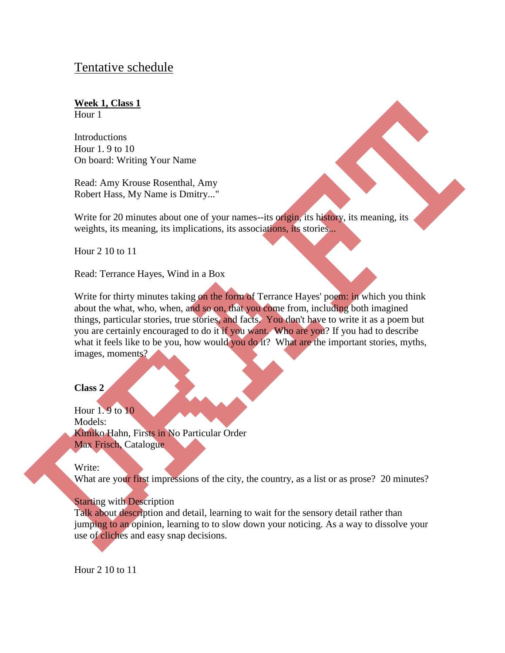# Tentative schedule

# **Week 1, Class 1**

Hour 1

**Introductions** Hour 1. 9 to 10 On board: Writing Your Name

Read: Amy Krouse Rosenthal, Amy Robert Hass, My Name is Dmitry..."

Write for 20 minutes about one of your names--its origin, its history, its meaning, its weights, its meaning, its implications, its associations, its stories...

Hour 2 10 to 11

Read: Terrance Hayes, Wind in a Box

Write for thirty minutes taking on the form of Terrance Hayes' poem: in which you think about the what, who, when, and so on, that you come from, including both imagined things, particular stories, true stories, and facts. You don't have to write it as a poem but you are certainly encouraged to do it if you want. Who are you? If you had to describe what it feels like to be you, how would you do it? What are the important stories, myths, images, moments?

# **Class 2**

Hour 1. 9 to 10 Models: Kimiko Hahn, Firsts in No Particular Order Max Frisch, Catalogue

Write:

What are your first impressions of the city, the country, as a list or as prose? 20 minutes?

# Starting with Description

Talk about description and detail, learning to wait for the sensory detail rather than jumping to an opinion, learning to to slow down your noticing. As a way to dissolve your use of cliches and easy snap decisions.

Hour 2 10 to 11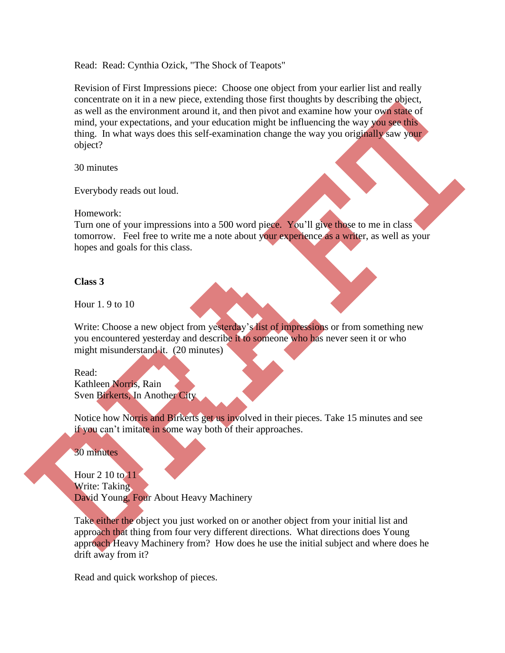Read: Read: Cynthia Ozick, "The Shock of Teapots"

Revision of First Impressions piece: Choose one object from your earlier list and really concentrate on it in a new piece, extending those first thoughts by describing the object, as well as the environment around it, and then pivot and examine how your own state of mind, your expectations, and your education might be influencing the way you see this thing. In what ways does this self-examination change the way you originally saw your object?

30 minutes

Everybody reads out loud.

Homework:

Turn one of your impressions into a 500 word piece. You'll give those to me in class tomorrow. Feel free to write me a note about your experience as a writer, as well as your hopes and goals for this class.

# **Class 3**

Hour 1. 9 to 10

Write: Choose a new object from yesterday's list of impressions or from something new you encountered yesterday and describe it to someone who has never seen it or who might misunderstand it. (20 minutes)

Read: Kathleen Norris, Rain Sven Birkerts, In Another City

Notice how Norris and Birkerts get us involved in their pieces. Take 15 minutes and see if you can't imitate in some way both of their approaches.

30 minutes

Hour 2 10 to 11 Write: Taking David Young, Four About Heavy Machinery

Take either the object you just worked on or another object from your initial list and approach that thing from four very different directions. What directions does Young approach Heavy Machinery from? How does he use the initial subject and where does he drift away from it?

Read and quick workshop of pieces.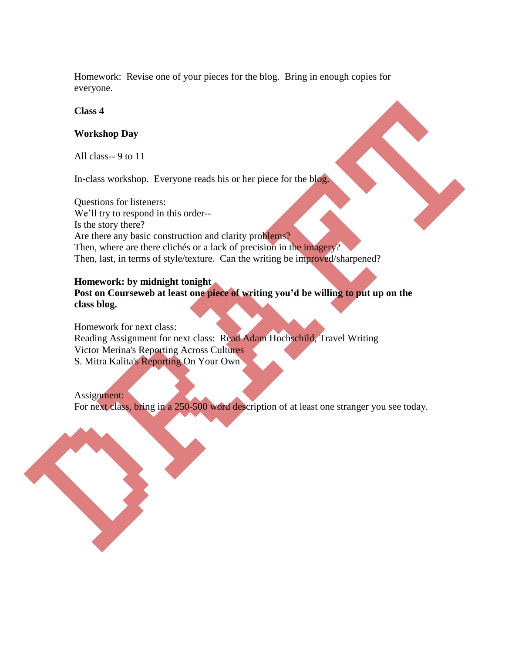Homework: Revise one of your pieces for the blog. Bring in enough copies for everyone.

**Class 4**

# **Workshop Day**

All class-- 9 to 11

In-class workshop. Everyone reads his or her piece for the blog.

Questions for listeners: We'll try to respond in this order-- Is the story there? Are there any basic construction and clarity problems? Then, where are there clichés or a lack of precision in the imagery? Then, last, in terms of style/texture. Can the writing be improved/sharpened?

# **Homework: by midnight tonight**

**Post on Courseweb at least one piece of writing you'd be willing to put up on the class blog.** 

Homework for next class: Reading Assignment for next class: Read Adam Hochschild, Travel Writing Victor Merina's Reporting Across Cultures S. Mitra Kalita's Reporting On Your Own

Assignment: For next class, bring in a 250-500 word description of at least one stranger you see today.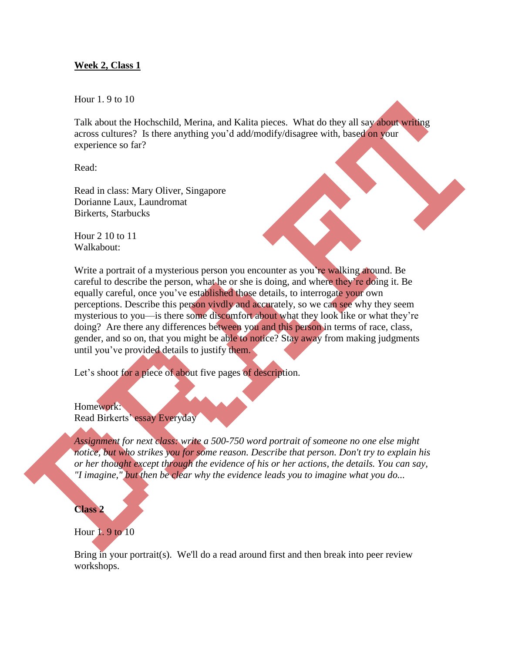# **Week 2, Class 1**

Hour 1. 9 to 10

Talk about the Hochschild, Merina, and Kalita pieces. What do they all say about writing across cultures? Is there anything you'd add/modify/disagree with, based on your experience so far?

Read:

Read in class: Mary Oliver, Singapore Dorianne Laux, Laundromat Birkerts, Starbucks

Hour 2 10 to 11 Walkabout:

Write a portrait of a mysterious person you encounter as you're walking around. Be careful to describe the person, what he or she is doing, and where they're doing it. Be equally careful, once you've established those details, to interrogate your own perceptions. Describe this person vivdly and accurately, so we can see why they seem mysterious to you—is there some discomfort about what they look like or what they're doing? Are there any differences between you and this person in terms of race, class, gender, and so on, that you might be able to notice? Stay away from making judgments until you've provided details to justify them.

Let's shoot for a piece of about five pages of description.

Homework: Read Birkerts' essay Everyday

*Assignment for next class: write a 500-750 word portrait of someone no one else might notice, but who strikes you for some reason. Describe that person. Don't try to explain his or her thought except through the evidence of his or her actions, the details. You can say, "I imagine," but then be clear why the evidence leads you to imagine what you do...*

#### **Class 2**

#### Hour 1. 9 to 10

Bring in your portrait(s). We'll do a read around first and then break into peer review workshops.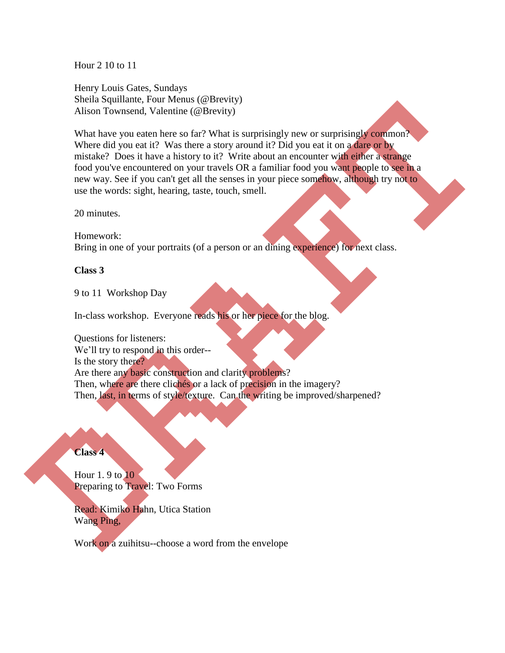Hour 2 10 to 11

Henry Louis Gates, Sundays Sheila Squillante, Four Menus (@Brevity) Alison Townsend, Valentine (@Brevity)

What have you eaten here so far? What is surprisingly new or surprisingly common? Where did you eat it? Was there a story around it? Did you eat it on a dare or by mistake? Does it have a history to it? Write about an encounter with either a strange food you've encountered on your travels OR a familiar food you want people to see in a new way. See if you can't get all the senses in your piece somehow, although try not to use the words: sight, hearing, taste, touch, smell.

20 minutes.

Homework: Bring in one of your portraits (of a person or an dining experience) for next class.

#### **Class 3**

9 to 11 Workshop Day

In-class workshop. Everyone reads his or her piece for the blog.

Questions for listeners: We'll try to respond in this order--Is the story there? Are there any basic construction and clarity problems? Then, where are there clichés or a lack of precision in the imagery? Then, last, in terms of style/texture. Can the writing be improved/sharpened?

# **Class 4**

Hour 1. 9 to 10 Preparing to Travel: Two Forms

Read: Kimiko Hahn, Utica Station Wang Ping,

Work on a zuihitsu--choose a word from the envelope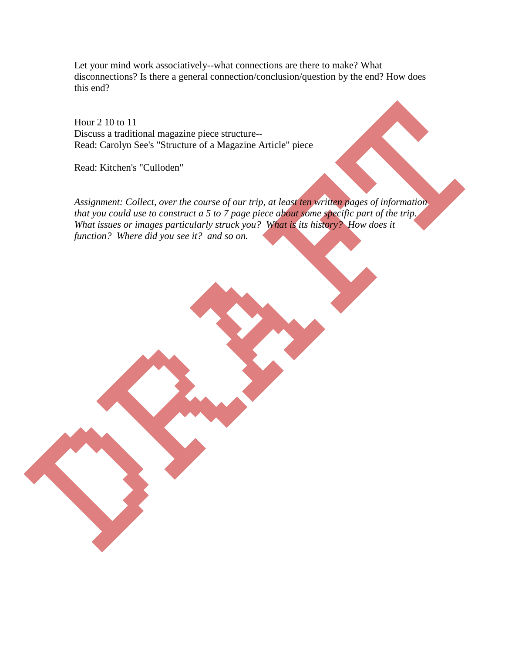Let your mind work associatively--what connections are there to make? What disconnections? Is there a general connection/conclusion/question by the end? How does this end?

Hour 2 10 to 11 Discuss a traditional magazine piece structure-- Read: Carolyn See's "Structure of a Magazine Article" piece

Read: Kitchen's "Culloden"

*Assignment: Collect, over the course of our trip, at least ten written pages of information that you could use to construct a 5 to 7 page piece about some specific part of the trip. What issues or images particularly struck you? What is its history? How does it function? Where did you see it? and so on.*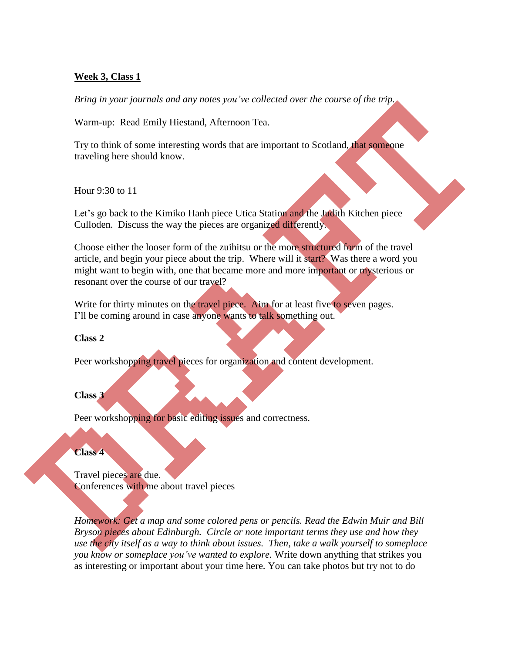# **Week 3, Class 1**

*Bring in your journals and any notes you've collected over the course of the trip.*

Warm-up: Read Emily Hiestand, Afternoon Tea.

Try to think of some interesting words that are important to Scotland, that someone traveling here should know.

Hour 9:30 to 11

Let's go back to the Kimiko Hanh piece Utica Station and the Judith Kitchen piece Culloden. Discuss the way the pieces are organized differently.

Choose either the looser form of the zuihitsu or the more structured form of the travel article, and begin your piece about the trip. Where will it start? Was there a word you might want to begin with, one that became more and more important or mysterious or resonant over the course of our travel?

Write for thirty minutes on the travel piece. Aim for at least five to seven pages. I'll be coming around in case anyone wants to talk something out.

# **Class 2**

Peer workshopping travel pieces for organization and content development.

# **Class 3**

Peer workshopping for basic editing issues and correctness.

# **Class 4**

Travel pieces are due. Conferences with me about travel pieces

*Homework: Get a map and some colored pens or pencils. Read the Edwin Muir and Bill Bryson pieces about Edinburgh. Circle or note important terms they use and how they use the city itself as a way to think about issues. Then, take a walk yourself to someplace you know or someplace you've wanted to explore.* Write down anything that strikes you as interesting or important about your time here. You can take photos but try not to do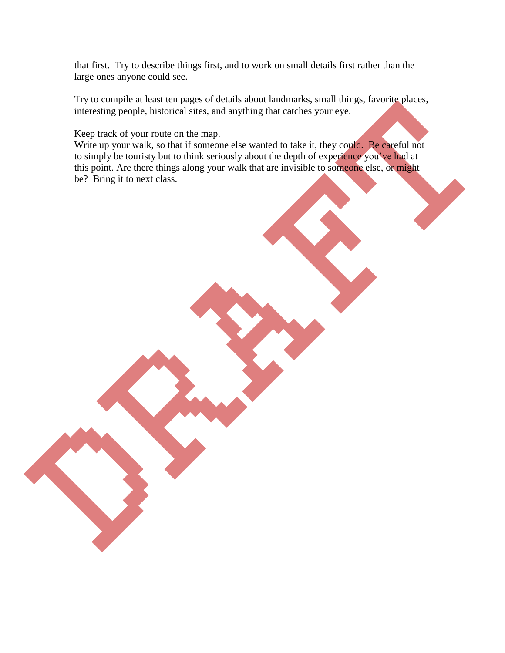that first. Try to describe things first, and to work on small details first rather than the large ones anyone could see.

Try to compile at least ten pages of details about landmarks, small things, favorite places, interesting people, historical sites, and anything that catches your eye.

Keep track of your route on the map.

Write up your walk, so that if someone else wanted to take it, they could. Be careful not to simply be touristy but to think seriously about the depth of experience you've had at this point. Are there things along your walk that are invisible to someone else, or might be? Bring it to next class.